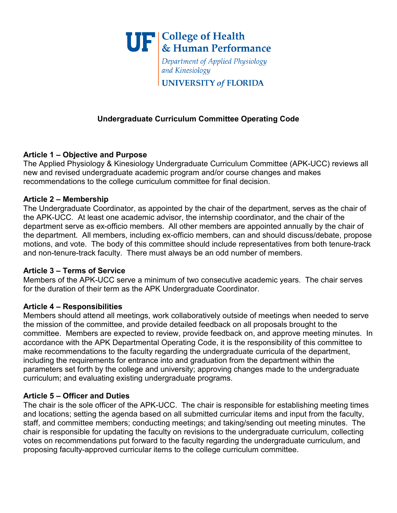

Department of Applied Physiology and Kinesiology

**UNIVERSITY of FLORIDA** 

# **Undergraduate Curriculum Committee Operating Code**

### **Article 1 – Objective and Purpose**

The Applied Physiology & Kinesiology Undergraduate Curriculum Committee (APK-UCC) reviews all new and revised undergraduate academic program and/or course changes and makes recommendations to the college curriculum committee for final decision.

#### **Article 2 – Membership**

The Undergraduate Coordinator, as appointed by the chair of the department, serves as the chair of the APK-UCC. At least one academic advisor, the internship coordinator, and the chair of the department serve as ex-officio members. All other members are appointed annually by the chair of the department. All members, including ex-officio members, can and should discuss/debate, propose motions, and vote. The body of this committee should include representatives from both tenure-track and non-tenure-track faculty. There must always be an odd number of members.

#### **Article 3 – Terms of Service**

Members of the APK-UCC serve a minimum of two consecutive academic years. The chair serves for the duration of their term as the APK Undergraduate Coordinator.

# **Article 4 – Responsibilities**

Members should attend all meetings, work collaboratively outside of meetings when needed to serve the mission of the committee, and provide detailed feedback on all proposals brought to the committee. Members are expected to review, provide feedback on, and approve meeting minutes. In accordance with the APK Departmental Operating Code, it is the responsibility of this committee to make recommendations to the faculty regarding the undergraduate curricula of the department, including the requirements for entrance into and graduation from the department within the parameters set forth by the college and university; approving changes made to the undergraduate curriculum; and evaluating existing undergraduate programs.

# **Article 5 – Officer and Duties**

The chair is the sole officer of the APK-UCC. The chair is responsible for establishing meeting times and locations; setting the agenda based on all submitted curricular items and input from the faculty, staff, and committee members; conducting meetings; and taking/sending out meeting minutes. The chair is responsible for updating the faculty on revisions to the undergraduate curriculum, collecting votes on recommendations put forward to the faculty regarding the undergraduate curriculum, and proposing faculty-approved curricular items to the college curriculum committee.